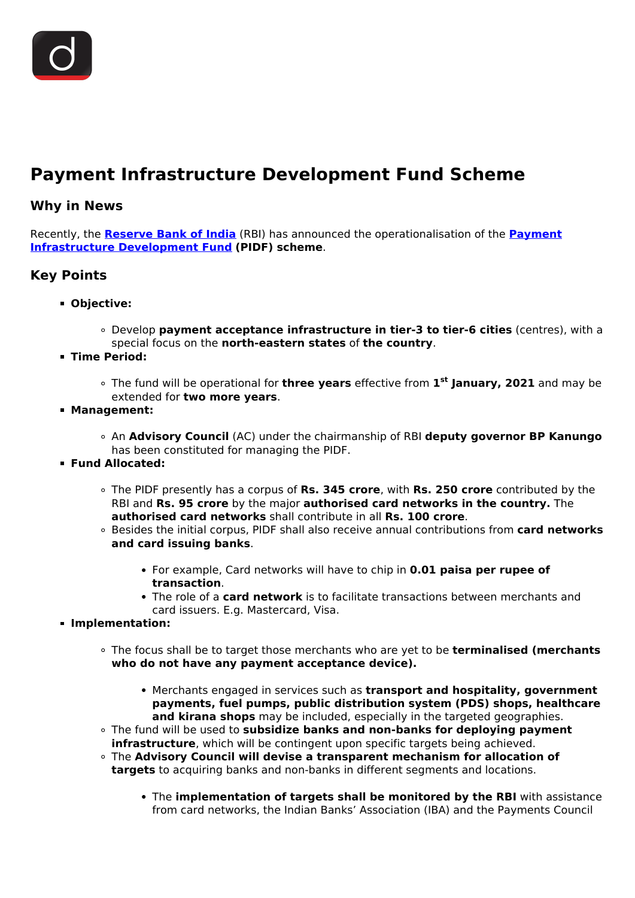

## **Payment Infrastructure Development Fund Scheme**

## **Why in News**

Recently, the **[Reserve Bank of India](/important-institutions/drishti-specials-important-institutions-national-institutions/important-institutions-national-institution-reserve-bank-of-india)** (RBI) has announced the operationalisation of the **[Payment](/daily-updates/daily-news-analysis/payments-infrastructure-development-fund) [Infrastructure Development Fund](/daily-updates/daily-news-analysis/payments-infrastructure-development-fund) (PIDF) scheme**.

## **Key Points**

- **Objective:**
	- Develop **payment acceptance infrastructure in tier-3 to tier-6 cities** (centres), with a special focus on the **north-eastern states** of **the country**.
- **Time Period:**
	- The fund will be operational for **three years** effective from **1 st January, 2021** and may be extended for **two more years**.
- **Management:**
	- An **Advisory Council** (AC) under the chairmanship of RBI **deputy governor BP Kanungo** has been constituted for managing the PIDF.
- **Fund Allocated:**
	- The PIDF presently has a corpus of **Rs. 345 crore**, with **Rs. 250 crore** contributed by the RBI and **Rs. 95 crore** by the major **authorised card networks in the country.** The **authorised card networks** shall contribute in all **Rs. 100 crore**.
	- Besides the initial corpus, PIDF shall also receive annual contributions from **card networks and card issuing banks**.
		- For example, Card networks will have to chip in **0.01 paisa per rupee of transaction**.
		- The role of a **card network** is to facilitate transactions between merchants and card issuers. E.g. Mastercard, Visa.
- **Implementation:**
	- The focus shall be to target those merchants who are yet to be **terminalised (merchants who do not have any payment acceptance device).**
		- Merchants engaged in services such as **transport and hospitality, government payments, fuel pumps, public distribution system (PDS) shops, healthcare and kirana shops** may be included, especially in the targeted geographies.
	- The fund will be used to **subsidize banks and non-banks for deploying payment infrastructure**, which will be contingent upon specific targets being achieved.
	- The **Advisory Council will devise a transparent mechanism for allocation of targets** to acquiring banks and non-banks in different segments and locations.
		- The **implementation of targets shall be monitored by the RBI** with assistance from card networks, the Indian Banks' Association (IBA) and the Payments Council